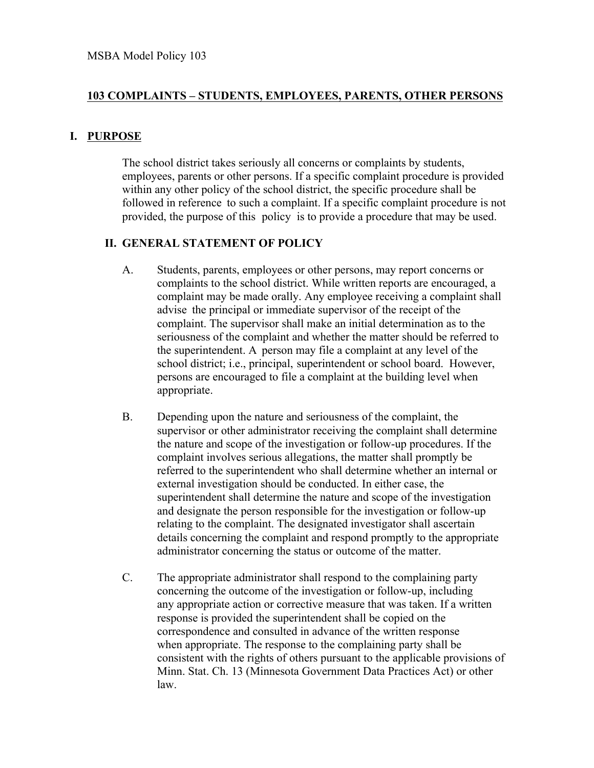## **103 COMPLAINTS – STUDENTS, EMPLOYEES, PARENTS, OTHER PERSONS**

## **I. PURPOSE**

The school district takes seriously all concerns or complaints by students, employees, parents or other persons. If a specific complaint procedure is provided within any other policy of the school district, the specific procedure shall be followed in reference to such a complaint. If a specific complaint procedure is not provided, the purpose of this policy is to provide a procedure that may be used.

## **II. GENERAL STATEMENT OF POLICY**

- A. Students, parents, employees or other persons, may report concerns or complaints to the school district. While written reports are encouraged, a complaint may be made orally. Any employee receiving a complaint shall advise the principal or immediate supervisor of the receipt of the complaint. The supervisor shall make an initial determination as to the seriousness of the complaint and whether the matter should be referred to the superintendent. A person may file a complaint at any level of the school district; i.e., principal, superintendent or school board. However, persons are encouraged to file a complaint at the building level when appropriate.
- B. Depending upon the nature and seriousness of the complaint, the supervisor or other administrator receiving the complaint shall determine the nature and scope of the investigation or follow-up procedures. If the complaint involves serious allegations, the matter shall promptly be referred to the superintendent who shall determine whether an internal or external investigation should be conducted. In either case, the superintendent shall determine the nature and scope of the investigation and designate the person responsible for the investigation or follow-up relating to the complaint. The designated investigator shall ascertain details concerning the complaint and respond promptly to the appropriate administrator concerning the status or outcome of the matter.
- C. The appropriate administrator shall respond to the complaining party concerning the outcome of the investigation or follow-up, including any appropriate action or corrective measure that was taken. If a written response is provided the superintendent shall be copied on the correspondence and consulted in advance of the written response when appropriate. The response to the complaining party shall be consistent with the rights of others pursuant to the applicable provisions of Minn. Stat. Ch. 13 (Minnesota Government Data Practices Act) or other law.